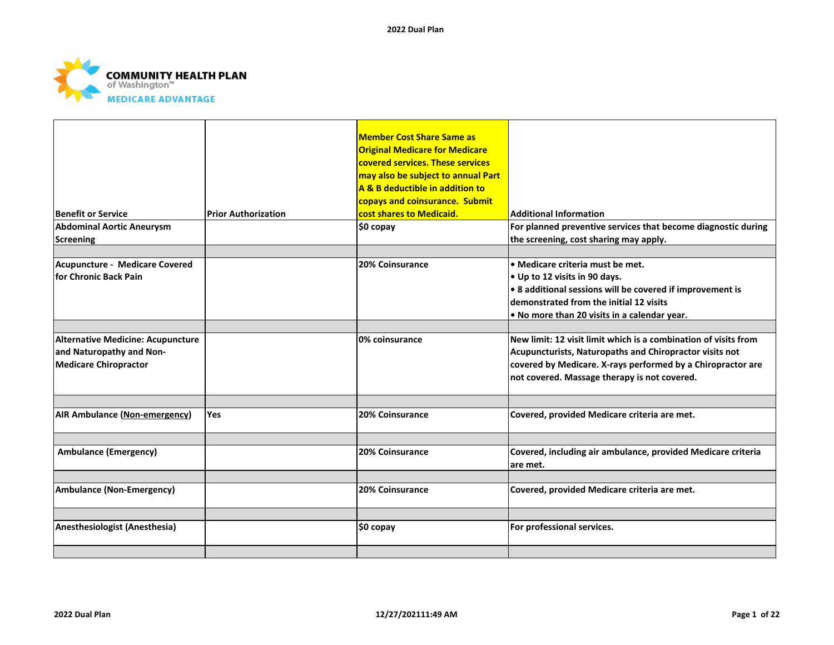

| <b>Benefit or Service</b>                                                                            | <b>Prior Authorization</b> | <b>Member Cost Share Same as</b><br><b>Original Medicare for Medicare</b><br>covered services. These services<br>may also be subject to annual Part<br>A & B deductible in addition to<br>copays and coinsurance. Submit<br>cost shares to Medicaid. | <b>Additional Information</b>                                                                                                                                                                                                                   |
|------------------------------------------------------------------------------------------------------|----------------------------|------------------------------------------------------------------------------------------------------------------------------------------------------------------------------------------------------------------------------------------------------|-------------------------------------------------------------------------------------------------------------------------------------------------------------------------------------------------------------------------------------------------|
| <b>Abdominal Aortic Aneurysm</b>                                                                     |                            | $$0$ copay                                                                                                                                                                                                                                           | For planned preventive services that become diagnostic during                                                                                                                                                                                   |
| Screening                                                                                            |                            |                                                                                                                                                                                                                                                      | the screening, cost sharing may apply.                                                                                                                                                                                                          |
| Acupuncture - Medicare Covered<br>lfor Chronic Back Pain                                             |                            | 20% Coinsurance                                                                                                                                                                                                                                      | $\bullet$ Medicare criteria must be met.<br>. Up to 12 visits in 90 days.<br>$\cdot$ 8 additional sessions will be covered if improvement is<br>demonstrated from the initial 12 visits<br>$\bullet$ No more than 20 visits in a calendar year. |
| <b>Alternative Medicine: Acupuncture</b><br>and Naturopathy and Non-<br><b>Medicare Chiropractor</b> |                            | l0% coinsurance                                                                                                                                                                                                                                      | New limit: 12 visit limit which is a combination of visits from<br>Acupuncturists, Naturopaths and Chiropractor visits not<br>covered by Medicare. X-rays performed by a Chiropractor are<br>not covered. Massage therapy is not covered.       |
| <b>AIR Ambulance (Non-emergency)</b>                                                                 | Yes                        | <b>20% Coinsurance</b>                                                                                                                                                                                                                               | Covered, provided Medicare criteria are met.                                                                                                                                                                                                    |
| <b>Ambulance (Emergency)</b>                                                                         |                            | 20% Coinsurance                                                                                                                                                                                                                                      | Covered, including air ambulance, provided Medicare criteria<br>lare met.                                                                                                                                                                       |
| <b>Ambulance (Non-Emergency)</b>                                                                     |                            | 20% Coinsurance                                                                                                                                                                                                                                      | Covered, provided Medicare criteria are met.                                                                                                                                                                                                    |
| Anesthesiologist (Anesthesia)                                                                        |                            | \$0 copay                                                                                                                                                                                                                                            | For professional services.                                                                                                                                                                                                                      |
|                                                                                                      |                            |                                                                                                                                                                                                                                                      |                                                                                                                                                                                                                                                 |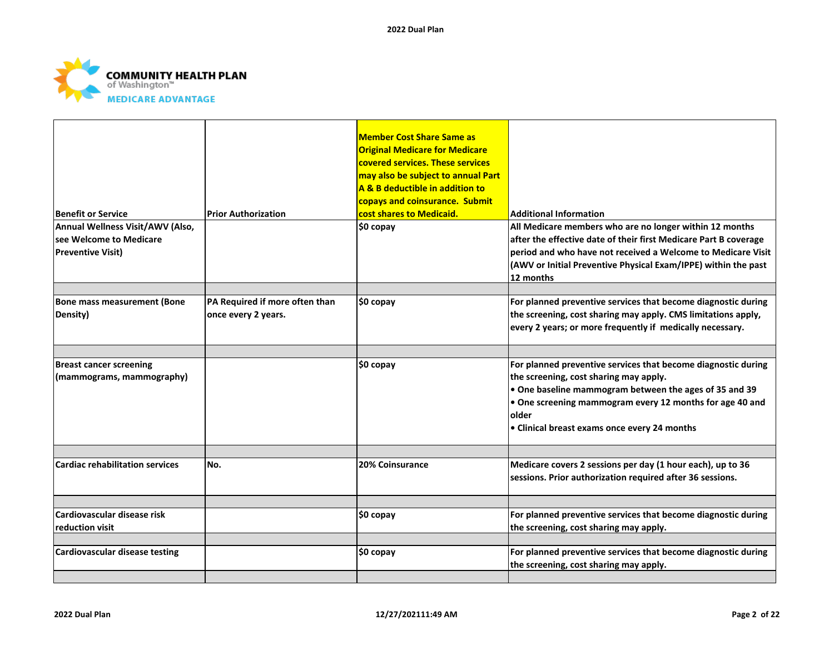

| <b>Benefit or Service</b>                                   | <b>Prior Authorization</b>     | <b>Member Cost Share Same as</b><br><b>Original Medicare for Medicare</b><br>covered services. These services<br>may also be subject to annual Part<br>A & B deductible in addition to<br>copays and coinsurance. Submit<br>cost shares to Medicaid. | <b>Additional Information</b>                                                                                                                                                                                                                                                                  |
|-------------------------------------------------------------|--------------------------------|------------------------------------------------------------------------------------------------------------------------------------------------------------------------------------------------------------------------------------------------------|------------------------------------------------------------------------------------------------------------------------------------------------------------------------------------------------------------------------------------------------------------------------------------------------|
| Annual Wellness Visit/AWV (Also,                            |                                | \$0 copay                                                                                                                                                                                                                                            | All Medicare members who are no longer within 12 months                                                                                                                                                                                                                                        |
| lsee Welcome to Medicare                                    |                                |                                                                                                                                                                                                                                                      | after the effective date of their first Medicare Part B coverage                                                                                                                                                                                                                               |
| Preventive Visit)                                           |                                |                                                                                                                                                                                                                                                      | period and who have not received a Welcome to Medicare Visit                                                                                                                                                                                                                                   |
|                                                             |                                |                                                                                                                                                                                                                                                      | (AWV or Initial Preventive Physical Exam/IPPE) within the past                                                                                                                                                                                                                                 |
|                                                             |                                |                                                                                                                                                                                                                                                      | 12 months                                                                                                                                                                                                                                                                                      |
|                                                             |                                |                                                                                                                                                                                                                                                      |                                                                                                                                                                                                                                                                                                |
| Bone mass measurement (Bone                                 | PA Required if more often than | \$0 copay                                                                                                                                                                                                                                            | For planned preventive services that become diagnostic during                                                                                                                                                                                                                                  |
| Density)                                                    | once every 2 years.            |                                                                                                                                                                                                                                                      | the screening, cost sharing may apply. CMS limitations apply,                                                                                                                                                                                                                                  |
|                                                             |                                |                                                                                                                                                                                                                                                      | every 2 years; or more frequently if medically necessary.                                                                                                                                                                                                                                      |
|                                                             |                                |                                                                                                                                                                                                                                                      |                                                                                                                                                                                                                                                                                                |
| <b>Breast cancer screening</b><br>(mammograms, mammography) |                                | $$0$ copay                                                                                                                                                                                                                                           | For planned preventive services that become diagnostic during<br>the screening, cost sharing may apply.<br>. One baseline mammogram between the ages of 35 and 39<br>. One screening mammogram every 12 months for age 40 and<br><b>lolder</b><br>• Clinical breast exams once every 24 months |
|                                                             |                                |                                                                                                                                                                                                                                                      |                                                                                                                                                                                                                                                                                                |
| Cardiac rehabilitation services                             | No.                            | 20% Coinsurance                                                                                                                                                                                                                                      | Medicare covers 2 sessions per day (1 hour each), up to 36                                                                                                                                                                                                                                     |
|                                                             |                                |                                                                                                                                                                                                                                                      | sessions. Prior authorization required after 36 sessions.                                                                                                                                                                                                                                      |
|                                                             |                                |                                                                                                                                                                                                                                                      |                                                                                                                                                                                                                                                                                                |
| Cardiovascular disease risk                                 |                                | \$0 copay                                                                                                                                                                                                                                            | For planned preventive services that become diagnostic during                                                                                                                                                                                                                                  |
| reduction visit                                             |                                |                                                                                                                                                                                                                                                      | the screening, cost sharing may apply.                                                                                                                                                                                                                                                         |
|                                                             |                                |                                                                                                                                                                                                                                                      |                                                                                                                                                                                                                                                                                                |
| Cardiovascular disease testing                              |                                | \$0 copay                                                                                                                                                                                                                                            | For planned preventive services that become diagnostic during                                                                                                                                                                                                                                  |
|                                                             |                                |                                                                                                                                                                                                                                                      | the screening, cost sharing may apply.                                                                                                                                                                                                                                                         |
|                                                             |                                |                                                                                                                                                                                                                                                      |                                                                                                                                                                                                                                                                                                |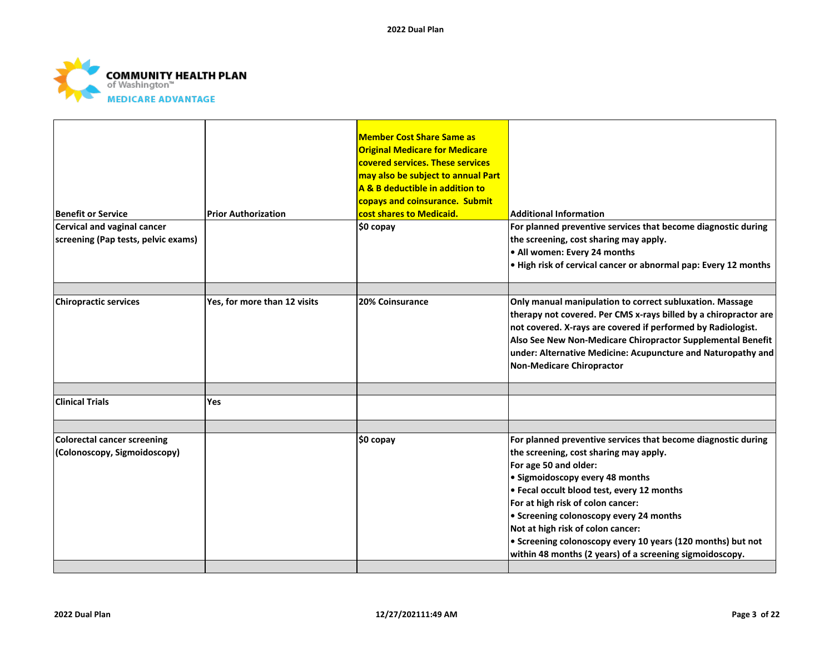

| <b>Benefit or Service</b>                                          |                              | <b>Member Cost Share Same as</b><br><b>Original Medicare for Medicare</b><br>covered services. These services<br>may also be subject to annual Part<br>A & B deductible in addition to<br>copays and coinsurance. Submit<br>cost shares to Medicaid. | <b>Additional Information</b>                                                                                                                                                                                                                                                                                                                                                                                                                                     |
|--------------------------------------------------------------------|------------------------------|------------------------------------------------------------------------------------------------------------------------------------------------------------------------------------------------------------------------------------------------------|-------------------------------------------------------------------------------------------------------------------------------------------------------------------------------------------------------------------------------------------------------------------------------------------------------------------------------------------------------------------------------------------------------------------------------------------------------------------|
|                                                                    | <b>Prior Authorization</b>   |                                                                                                                                                                                                                                                      |                                                                                                                                                                                                                                                                                                                                                                                                                                                                   |
| Cervical and vaginal cancer<br>screening (Pap tests, pelvic exams) |                              | \$0 copay                                                                                                                                                                                                                                            | For planned preventive services that become diagnostic during<br>the screening, cost sharing may apply.<br>. All women: Every 24 months<br>. High risk of cervical cancer or abnormal pap: Every 12 months                                                                                                                                                                                                                                                        |
| <b>Chiropractic services</b>                                       | Yes, for more than 12 visits | <b>20% Coinsurance</b>                                                                                                                                                                                                                               | Only manual manipulation to correct subluxation. Massage<br>therapy not covered. Per CMS x-rays billed by a chiropractor are<br>not covered. X-rays are covered if performed by Radiologist.<br>Also See New Non-Medicare Chiropractor Supplemental Benefit<br>under: Alternative Medicine: Acupuncture and Naturopathy and<br>Non-Medicare Chiropractor                                                                                                          |
| <b>Clinical Trials</b>                                             | <b>Yes</b>                   |                                                                                                                                                                                                                                                      |                                                                                                                                                                                                                                                                                                                                                                                                                                                                   |
| <b>Colorectal cancer screening</b><br>(Colonoscopy, Sigmoidoscopy) |                              | \$0 copay                                                                                                                                                                                                                                            | For planned preventive services that become diagnostic during<br>the screening, cost sharing may apply.<br>For age 50 and older:<br>• Sigmoidoscopy every 48 months<br>. Fecal occult blood test, every 12 months<br>For at high risk of colon cancer:<br>• Screening colonoscopy every 24 months<br>Not at high risk of colon cancer:<br>• Screening colonoscopy every 10 years (120 months) but not<br>within 48 months (2 years) of a screening sigmoidoscopy. |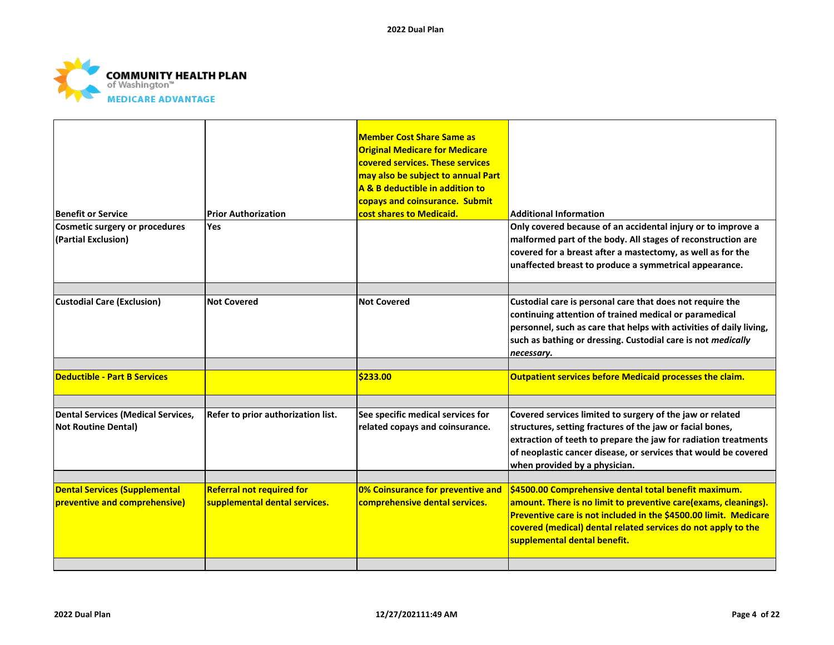

|                                                                  |                                    | <b>Member Cost Share Same as</b><br><b>Original Medicare for Medicare</b><br>covered services. These services<br>may also be subject to annual Part<br>A & B deductible in addition to<br>copays and coinsurance. Submit |                                                                                                                                                                                                                                                                                               |
|------------------------------------------------------------------|------------------------------------|--------------------------------------------------------------------------------------------------------------------------------------------------------------------------------------------------------------------------|-----------------------------------------------------------------------------------------------------------------------------------------------------------------------------------------------------------------------------------------------------------------------------------------------|
| <b>Benefit or Service</b>                                        | <b>Prior Authorization</b>         | cost shares to Medicaid.                                                                                                                                                                                                 | <b>Additional Information</b>                                                                                                                                                                                                                                                                 |
| Cosmetic surgery or procedures<br>(Partial Exclusion)            | <b>Yes</b>                         |                                                                                                                                                                                                                          | Only covered because of an accidental injury or to improve a<br>malformed part of the body. All stages of reconstruction are<br>covered for a breast after a mastectomy, as well as for the<br>unaffected breast to produce a symmetrical appearance.                                         |
|                                                                  |                                    |                                                                                                                                                                                                                          |                                                                                                                                                                                                                                                                                               |
| <b>Custodial Care (Exclusion)</b>                                | <b>Not Covered</b>                 | <b>Not Covered</b>                                                                                                                                                                                                       | Custodial care is personal care that does not require the<br>continuing attention of trained medical or paramedical<br>personnel, such as care that helps with activities of daily living,<br>such as bathing or dressing. Custodial care is not medically<br>necessary.                      |
|                                                                  |                                    |                                                                                                                                                                                                                          |                                                                                                                                                                                                                                                                                               |
| <b>Deductible - Part B Services</b>                              |                                    | \$233.00                                                                                                                                                                                                                 | Outpatient services before Medicaid processes the claim.                                                                                                                                                                                                                                      |
| Dental Services (Medical Services,<br><b>Not Routine Dental)</b> | Refer to prior authorization list. | See specific medical services for<br>related copays and coinsurance.                                                                                                                                                     | Covered services limited to surgery of the jaw or related<br>structures, setting fractures of the jaw or facial bones,<br>extraction of teeth to prepare the jaw for radiation treatments<br>of neoplastic cancer disease, or services that would be covered<br>when provided by a physician. |
| <b>Dental Services (Supplemental</b>                             | <b>Referral not required for</b>   | 0% Coinsurance for preventive and                                                                                                                                                                                        | \$4500.00 Comprehensive dental total benefit maximum.                                                                                                                                                                                                                                         |
| preventive and comprehensive)                                    | supplemental dental services.      | comprehensive dental services.                                                                                                                                                                                           | amount. There is no limit to preventive care(exams, cleanings).<br>Preventive care is not included in the \$4500.00 limit. Medicare<br>covered (medical) dental related services do not apply to the<br>supplemental dental benefit.                                                          |
|                                                                  |                                    |                                                                                                                                                                                                                          |                                                                                                                                                                                                                                                                                               |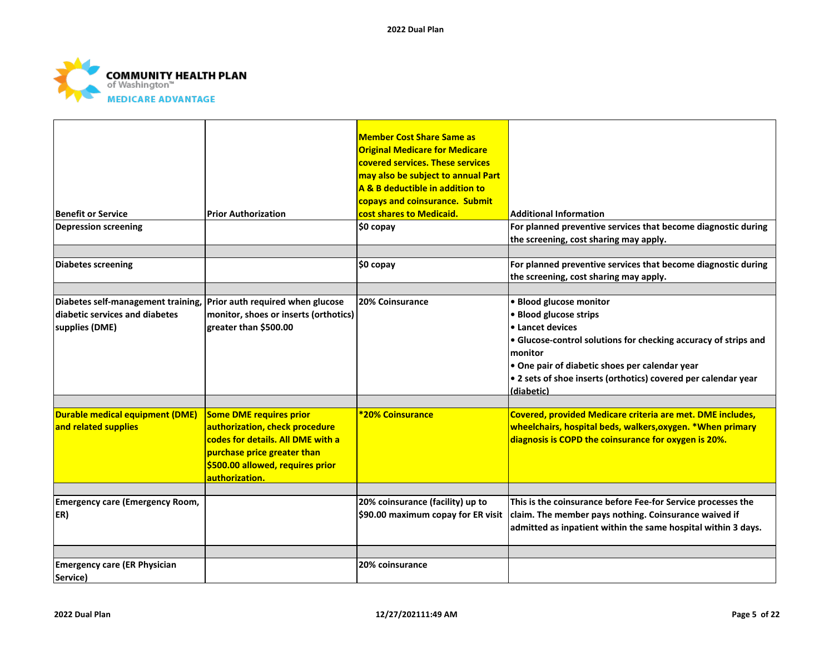

| <b>Benefit or Service</b><br><b>Depression screening</b>                                                                | <b>Prior Authorization</b>                                                                                                                                                          | <b>Member Cost Share Same as</b><br><b>Original Medicare for Medicare</b><br>covered services. These services<br>may also be subject to annual Part<br>A & B deductible in addition to<br>copays and coinsurance. Submit<br>cost shares to Medicaid.<br>\$0 copay | <b>Additional Information</b><br>For planned preventive services that become diagnostic during                                                                                                                                                                                        |
|-------------------------------------------------------------------------------------------------------------------------|-------------------------------------------------------------------------------------------------------------------------------------------------------------------------------------|-------------------------------------------------------------------------------------------------------------------------------------------------------------------------------------------------------------------------------------------------------------------|---------------------------------------------------------------------------------------------------------------------------------------------------------------------------------------------------------------------------------------------------------------------------------------|
|                                                                                                                         |                                                                                                                                                                                     |                                                                                                                                                                                                                                                                   | the screening, cost sharing may apply.                                                                                                                                                                                                                                                |
| <b>Diabetes screening</b>                                                                                               |                                                                                                                                                                                     | \$0 copay                                                                                                                                                                                                                                                         | For planned preventive services that become diagnostic during<br>the screening, cost sharing may apply.                                                                                                                                                                               |
| Diabetes self-management training, Prior auth required when glucose<br>diabetic services and diabetes<br>supplies (DME) | monitor, shoes or inserts (orthotics)<br>greater than \$500.00                                                                                                                      | 20% Coinsurance                                                                                                                                                                                                                                                   | · Blood glucose monitor<br>· Blood glucose strips<br>• Lancet devices<br>• Glucose-control solutions for checking accuracy of strips and<br>monitor<br>• One pair of diabetic shoes per calendar year<br>• 2 sets of shoe inserts (orthotics) covered per calendar year<br>(diabetic) |
| <b>Durable medical equipment (DME)</b><br>and related supplies                                                          | Some DME requires prior<br>authorization, check procedure<br>codes for details. All DME with a<br>purchase price greater than<br>\$500.00 allowed, requires prior<br>authorization. | <b>*20% Coinsurance</b>                                                                                                                                                                                                                                           | Covered, provided Medicare criteria are met. DME includes,<br>wheelchairs, hospital beds, walkers, oxygen. * When primary<br>diagnosis is COPD the coinsurance for oxygen is 20%.                                                                                                     |
| <b>Emergency care (Emergency Room,</b><br>ER)                                                                           |                                                                                                                                                                                     | 20% coinsurance (facility) up to<br>\$90.00 maximum copay for ER visit                                                                                                                                                                                            | This is the coinsurance before Fee-for Service processes the<br>claim. The member pays nothing. Coinsurance waived if<br>admitted as inpatient within the same hospital within 3 days.                                                                                                |
|                                                                                                                         |                                                                                                                                                                                     |                                                                                                                                                                                                                                                                   |                                                                                                                                                                                                                                                                                       |
| <b>Emergency care (ER Physician</b><br>Service)                                                                         |                                                                                                                                                                                     | 20% coinsurance                                                                                                                                                                                                                                                   |                                                                                                                                                                                                                                                                                       |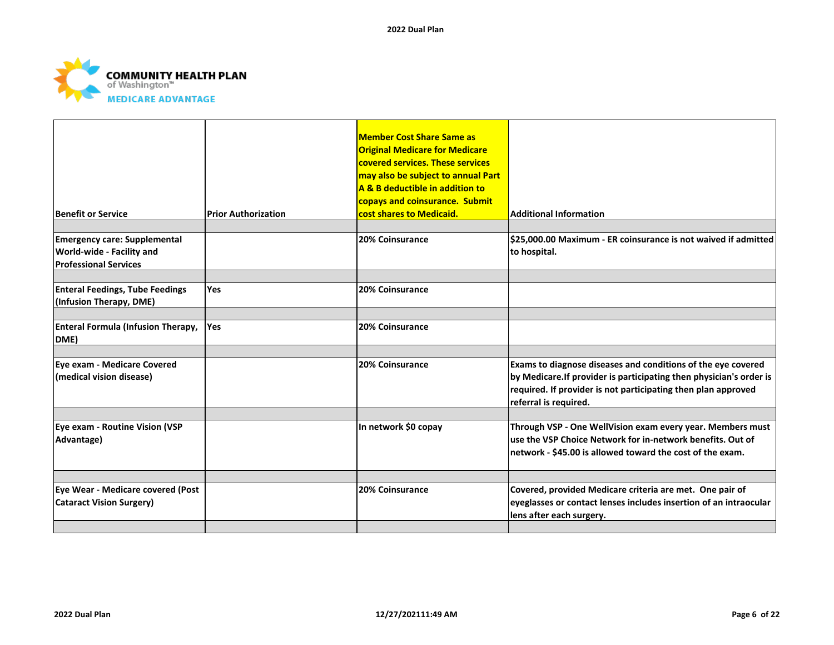

| <b>Benefit or Service</b>                                                                               | <b>Prior Authorization</b> | <b>Member Cost Share Same as</b><br><b>Original Medicare for Medicare</b><br>covered services. These services<br>may also be subject to annual Part<br>A & B deductible in addition to<br>copays and coinsurance. Submit<br>cost shares to Medicaid. | <b>Additional Information</b>                                                                                                                                                                                                 |
|---------------------------------------------------------------------------------------------------------|----------------------------|------------------------------------------------------------------------------------------------------------------------------------------------------------------------------------------------------------------------------------------------------|-------------------------------------------------------------------------------------------------------------------------------------------------------------------------------------------------------------------------------|
| <b>Emergency care: Supplemental</b><br><b>World-wide - Facility and</b><br><b>Professional Services</b> |                            | 20% Coinsurance                                                                                                                                                                                                                                      | \$25,000.00 Maximum - ER coinsurance is not waived if admitted<br>to hospital.                                                                                                                                                |
| <b>Enteral Feedings, Tube Feedings</b><br>(Infusion Therapy, DME)                                       | Yes                        | 20% Coinsurance                                                                                                                                                                                                                                      |                                                                                                                                                                                                                               |
| <b>Enteral Formula (Infusion Therapy,</b><br>DME)                                                       | <b>Yes</b>                 | 20% Coinsurance                                                                                                                                                                                                                                      |                                                                                                                                                                                                                               |
| Eye exam - Medicare Covered<br>(medical vision disease)                                                 |                            | 20% Coinsurance                                                                                                                                                                                                                                      | Exams to diagnose diseases and conditions of the eye covered<br>by Medicare. If provider is participating then physician's order is<br>required. If provider is not participating then plan approved<br>referral is required. |
| Eye exam - Routine Vision (VSP<br>Advantage)                                                            |                            | In network \$0 copay                                                                                                                                                                                                                                 | Through VSP - One WellVision exam every year. Members must<br>luse the VSP Choice Network for in-network benefits. Out of<br>network - \$45.00 is allowed toward the cost of the exam.                                        |
| Eye Wear - Medicare covered (Post<br><b>Cataract Vision Surgery)</b>                                    |                            | 20% Coinsurance                                                                                                                                                                                                                                      | Covered, provided Medicare criteria are met. One pair of<br>eyeglasses or contact lenses includes insertion of an intraocular<br>lens after each surgery.                                                                     |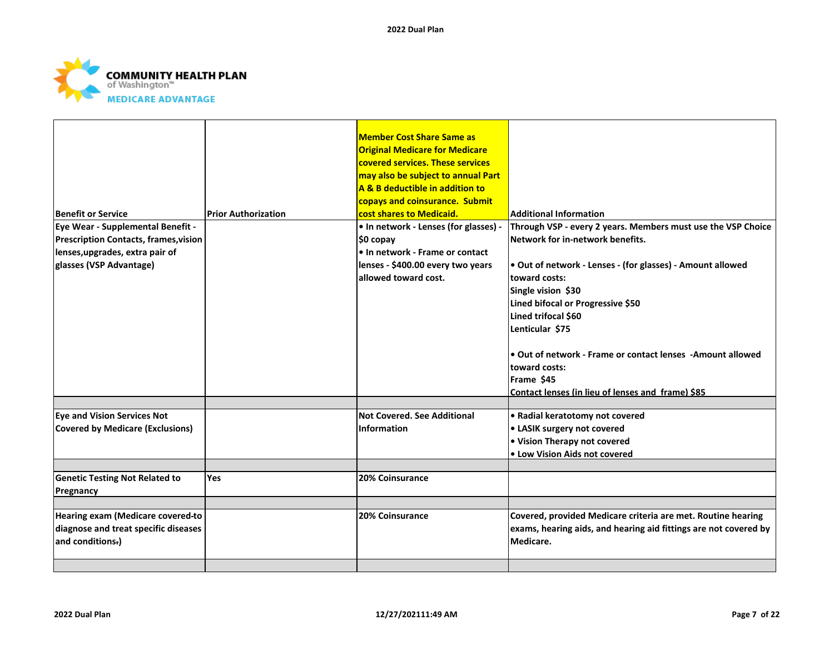

| Benefit or Service<br>Eye Wear - Supplemental Benefit -                       | <b>Prior Authorization</b> | <b>Member Cost Share Same as</b><br><b>Original Medicare for Medicare</b><br>covered services. These services<br>may also be subject to annual Part<br>A & B deductible in addition to<br>copays and coinsurance. Submit<br>cost shares to Medicaid.<br>• In network - Lenses (for glasses) - | <b>Additional Information</b><br>Through VSP - every 2 years. Members must use the VSP Choice                                                   |
|-------------------------------------------------------------------------------|----------------------------|-----------------------------------------------------------------------------------------------------------------------------------------------------------------------------------------------------------------------------------------------------------------------------------------------|-------------------------------------------------------------------------------------------------------------------------------------------------|
| <b>Prescription Contacts, frames, vision</b>                                  |                            | \$0 copay                                                                                                                                                                                                                                                                                     | Network for in-network benefits.                                                                                                                |
| lenses, upgrades, extra pair of                                               |                            | • In network - Frame or contact                                                                                                                                                                                                                                                               |                                                                                                                                                 |
| glasses (VSP Advantage)                                                       |                            | lenses - \$400.00 every two years<br>allowed toward cost.                                                                                                                                                                                                                                     | . Out of network - Lenses - (for glasses) - Amount allowed<br>toward costs:<br>Single vision \$30<br>Lined bifocal or Progressive \$50          |
|                                                                               |                            |                                                                                                                                                                                                                                                                                               | Lined trifocal \$60                                                                                                                             |
|                                                                               |                            |                                                                                                                                                                                                                                                                                               | Lenticular \$75                                                                                                                                 |
|                                                                               |                            |                                                                                                                                                                                                                                                                                               | • Out of network - Frame or contact lenses - Amount allowed<br>toward costs:<br>Frame \$45<br>Contact lenses (in lieu of lenses and frame) \$85 |
|                                                                               |                            | Not Covered, See Additional                                                                                                                                                                                                                                                                   |                                                                                                                                                 |
| <b>Eye and Vision Services Not</b><br><b>Covered by Medicare (Exclusions)</b> |                            | <b>Information</b>                                                                                                                                                                                                                                                                            | • Radial keratotomy not covered<br>• LASIK surgery not covered                                                                                  |
|                                                                               |                            |                                                                                                                                                                                                                                                                                               | • Vision Therapy not covered                                                                                                                    |
|                                                                               |                            |                                                                                                                                                                                                                                                                                               | • Low Vision Aids not covered                                                                                                                   |
|                                                                               |                            |                                                                                                                                                                                                                                                                                               |                                                                                                                                                 |
| <b>Genetic Testing Not Related to</b><br>Pregnancy                            | <b>Yes</b>                 | 20% Coinsurance                                                                                                                                                                                                                                                                               |                                                                                                                                                 |
| Hearing exam (Medicare covered-to                                             |                            | 20% Coinsurance                                                                                                                                                                                                                                                                               | Covered, provided Medicare criteria are met. Routine hearing                                                                                    |
| diagnose and treat specific diseases                                          |                            |                                                                                                                                                                                                                                                                                               | exams, hearing aids, and hearing aid fittings are not covered by                                                                                |
| and conditions-)                                                              |                            |                                                                                                                                                                                                                                                                                               | Medicare.                                                                                                                                       |
|                                                                               |                            |                                                                                                                                                                                                                                                                                               |                                                                                                                                                 |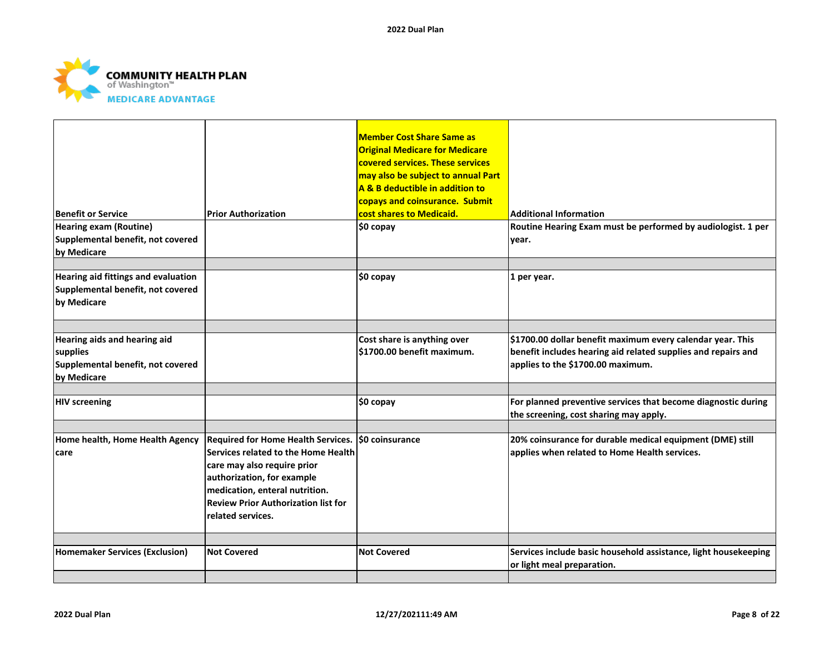

| <b>Benefit or Service</b>                                                                    | <b>Prior Authorization</b>                                                                                                                                                                                                                                  | <b>Member Cost Share Same as</b><br><b>Original Medicare for Medicare</b><br>covered services. These services<br>may also be subject to annual Part<br>A & B deductible in addition to<br>copays and coinsurance. Submit<br>cost shares to Medicaid. | <b>Additional Information</b>                                                                                                                                    |
|----------------------------------------------------------------------------------------------|-------------------------------------------------------------------------------------------------------------------------------------------------------------------------------------------------------------------------------------------------------------|------------------------------------------------------------------------------------------------------------------------------------------------------------------------------------------------------------------------------------------------------|------------------------------------------------------------------------------------------------------------------------------------------------------------------|
| <b>Hearing exam (Routine)</b><br>Supplemental benefit, not covered<br>by Medicare            |                                                                                                                                                                                                                                                             | $$0$ copay                                                                                                                                                                                                                                           | Routine Hearing Exam must be performed by audiologist. 1 per<br>year.                                                                                            |
| Hearing aid fittings and evaluation<br>Supplemental benefit, not covered<br>by Medicare      |                                                                                                                                                                                                                                                             | $$0$ copay                                                                                                                                                                                                                                           | 1 per year.                                                                                                                                                      |
| Hearing aids and hearing aid<br>supplies<br>Supplemental benefit, not covered<br>by Medicare |                                                                                                                                                                                                                                                             | Cost share is anything over<br>\$1700.00 benefit maximum.                                                                                                                                                                                            | \$1700.00 dollar benefit maximum every calendar year. This<br>benefit includes hearing aid related supplies and repairs and<br>applies to the \$1700.00 maximum. |
| <b>HIV screening</b>                                                                         |                                                                                                                                                                                                                                                             | \$0 copay                                                                                                                                                                                                                                            | For planned preventive services that become diagnostic during<br>the screening, cost sharing may apply.                                                          |
| Home health, Home Health Agency<br>care                                                      | Required for Home Health Services. \$0 coinsurance<br>Services related to the Home Health<br>care may also require prior<br>authorization, for example<br>medication, enteral nutrition.<br><b>Review Prior Authorization list for</b><br>related services. |                                                                                                                                                                                                                                                      | 20% coinsurance for durable medical equipment (DME) still<br>applies when related to Home Health services.                                                       |
| <b>Homemaker Services (Exclusion)</b>                                                        | <b>Not Covered</b>                                                                                                                                                                                                                                          | <b>Not Covered</b>                                                                                                                                                                                                                                   | Services include basic household assistance, light housekeeping<br>or light meal preparation.                                                                    |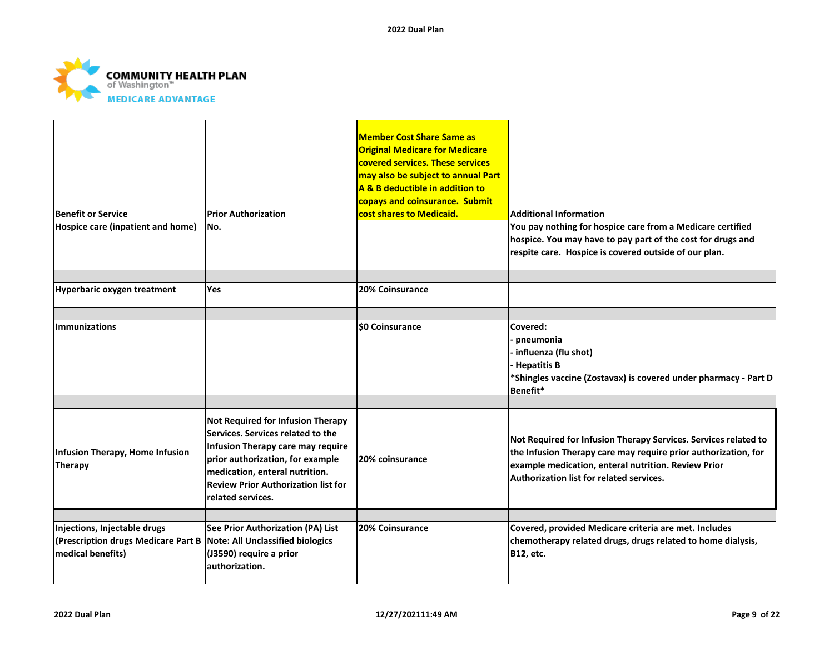

| <b>Benefit or Service</b><br>Hospice care (inpatient and home)                            | <b>Prior Authorization</b><br>No.                                                                                                                                                                                                                    | <b>Member Cost Share Same as</b><br><b>Original Medicare for Medicare</b><br>covered services. These services<br>may also be subject to annual Part<br>A & B deductible in addition to<br>copays and coinsurance. Submit<br>cost shares to Medicaid. | <b>Additional Information</b><br>You pay nothing for hospice care from a Medicare certified                                                                                                                                          |
|-------------------------------------------------------------------------------------------|------------------------------------------------------------------------------------------------------------------------------------------------------------------------------------------------------------------------------------------------------|------------------------------------------------------------------------------------------------------------------------------------------------------------------------------------------------------------------------------------------------------|--------------------------------------------------------------------------------------------------------------------------------------------------------------------------------------------------------------------------------------|
|                                                                                           |                                                                                                                                                                                                                                                      |                                                                                                                                                                                                                                                      | hospice. You may have to pay part of the cost for drugs and<br>respite care. Hospice is covered outside of our plan.                                                                                                                 |
| Hyperbaric oxygen treatment                                                               | <b>Yes</b>                                                                                                                                                                                                                                           | 20% Coinsurance                                                                                                                                                                                                                                      |                                                                                                                                                                                                                                      |
| <b>Immunizations</b>                                                                      |                                                                                                                                                                                                                                                      | <b>SO Coinsurance</b>                                                                                                                                                                                                                                | Covered:<br>· pneumonia<br>influenza (flu shot)<br>Hepatitis B<br>*Shingles vaccine (Zostavax) is covered under pharmacy - Part D<br>Benefit*                                                                                        |
| Infusion Therapy, Home Infusion<br>Therapy                                                | Not Required for Infusion Therapy<br>Services. Services related to the<br>Infusion Therapy care may require<br>prior authorization, for example<br>medication, enteral nutrition.<br><b>Review Prior Authorization list for</b><br>related services. | 20% coinsurance                                                                                                                                                                                                                                      | Not Required for Infusion Therapy Services. Services related to<br>the Infusion Therapy care may require prior authorization, for<br>example medication, enteral nutrition. Review Prior<br>Authorization list for related services. |
| Injections, Injectable drugs                                                              | See Prior Authorization (PA) List                                                                                                                                                                                                                    | 20% Coinsurance                                                                                                                                                                                                                                      | Covered, provided Medicare criteria are met. Includes                                                                                                                                                                                |
| (Prescription drugs Medicare Part B Note: All Unclassified biologics<br>medical benefits) | (J3590) require a prior<br>authorization.                                                                                                                                                                                                            |                                                                                                                                                                                                                                                      | chemotherapy related drugs, drugs related to home dialysis,<br><b>B12, etc.</b>                                                                                                                                                      |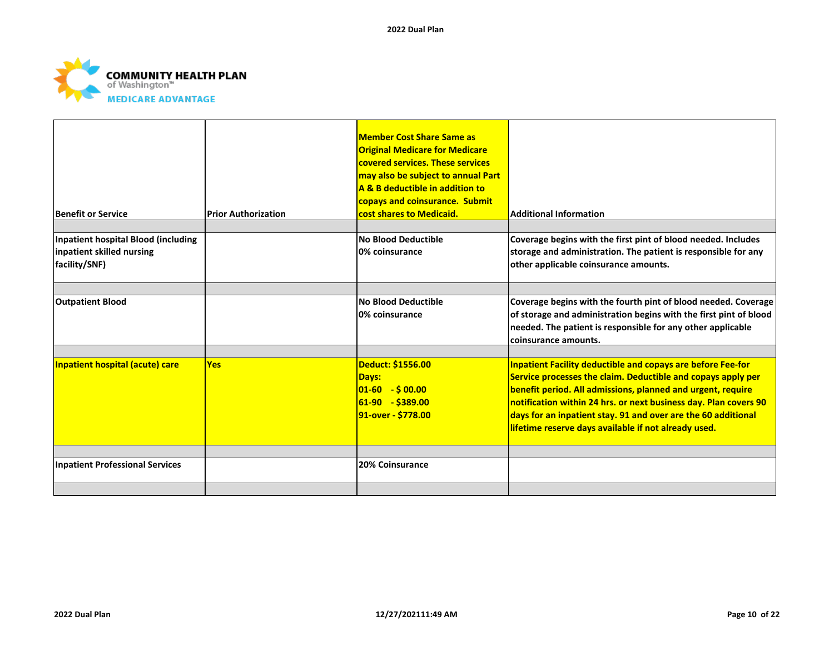

| <b>Benefit or Service</b>                                                         | <b>Prior Authorization</b> | <b>Member Cost Share Same as</b><br><b>Original Medicare for Medicare</b><br>covered services. These services<br>may also be subject to annual Part<br>A & B deductible in addition to<br>copays and coinsurance. Submit<br>cost shares to Medicaid. | <b>Additional Information</b>                                                                                                                                                                                                                                                                                                                                                                  |
|-----------------------------------------------------------------------------------|----------------------------|------------------------------------------------------------------------------------------------------------------------------------------------------------------------------------------------------------------------------------------------------|------------------------------------------------------------------------------------------------------------------------------------------------------------------------------------------------------------------------------------------------------------------------------------------------------------------------------------------------------------------------------------------------|
|                                                                                   |                            |                                                                                                                                                                                                                                                      |                                                                                                                                                                                                                                                                                                                                                                                                |
| Inpatient hospital Blood (including<br>inpatient skilled nursing<br>facility/SNF) |                            | No Blood Deductible<br>0% coinsurance                                                                                                                                                                                                                | Coverage begins with the first pint of blood needed. Includes<br>storage and administration. The patient is responsible for any<br>other applicable coinsurance amounts.                                                                                                                                                                                                                       |
|                                                                                   |                            |                                                                                                                                                                                                                                                      |                                                                                                                                                                                                                                                                                                                                                                                                |
| <b>Outpatient Blood</b>                                                           |                            | <b>No Blood Deductible</b><br>0% coinsurance                                                                                                                                                                                                         | Coverage begins with the fourth pint of blood needed. Coverage<br>of storage and administration begins with the first pint of blood<br>needed. The patient is responsible for any other applicable<br>coinsurance amounts.                                                                                                                                                                     |
| Inpatient hospital (acute) care                                                   | <b>Yes</b>                 | Deduct: \$1556.00<br>Days:<br>$ 01-60  - $00.00 $<br>$61-90 - $389.00$<br>91-over - \$778.00                                                                                                                                                         | <b>Inpatient Facility deductible and copays are before Fee-for</b><br>Service processes the claim. Deductible and copays apply per<br>benefit period. All admissions, planned and urgent, require<br>notification within 24 hrs. or next business day. Plan covers 90<br>days for an inpatient stay. 91 and over are the 60 additional<br>lifetime reserve days available if not already used. |
|                                                                                   |                            |                                                                                                                                                                                                                                                      |                                                                                                                                                                                                                                                                                                                                                                                                |
| <b>Inpatient Professional Services</b>                                            |                            | 20% Coinsurance                                                                                                                                                                                                                                      |                                                                                                                                                                                                                                                                                                                                                                                                |
|                                                                                   |                            |                                                                                                                                                                                                                                                      |                                                                                                                                                                                                                                                                                                                                                                                                |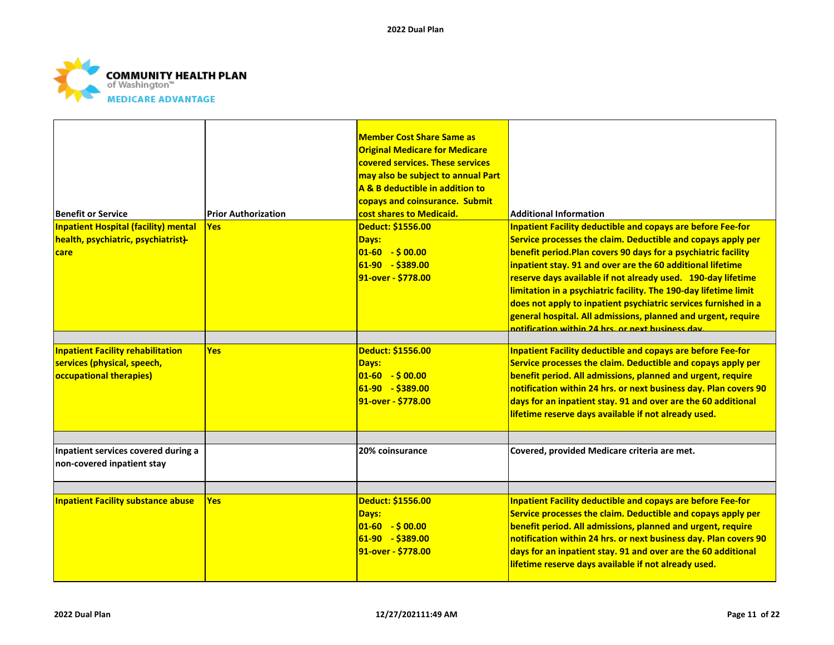

|                                             |                            | <b>Member Cost Share Same as</b>      |                                                                    |
|---------------------------------------------|----------------------------|---------------------------------------|--------------------------------------------------------------------|
|                                             |                            | <b>Original Medicare for Medicare</b> |                                                                    |
|                                             |                            | covered services. These services      |                                                                    |
|                                             |                            |                                       |                                                                    |
|                                             |                            | may also be subject to annual Part    |                                                                    |
|                                             |                            | A & B deductible in addition to       |                                                                    |
|                                             |                            | copays and coinsurance. Submit        |                                                                    |
| <b>Benefit or Service</b>                   | <b>Prior Authorization</b> | cost shares to Medicaid.              | <b>Additional Information</b>                                      |
| <b>Inpatient Hospital (facility) mental</b> | <b>Yes</b>                 | Deduct: \$1556.00                     | <b>Inpatient Facility deductible and copays are before Fee-for</b> |
| health, psychiatric, psychiatrist}          |                            | <b>Days:</b>                          | Service processes the claim. Deductible and copays apply per       |
| care                                        |                            | $01-60 - $00.00$                      | benefit period. Plan covers 90 days for a psychiatric facility     |
|                                             |                            | $61-90 - $389.00$                     | inpatient stay. 91 and over are the 60 additional lifetime         |
|                                             |                            | 91-over - \$778.00                    | reserve days available if not already used. 190-day lifetime       |
|                                             |                            |                                       | limitation in a psychiatric facility. The 190-day lifetime limit   |
|                                             |                            |                                       | does not apply to inpatient psychiatric services furnished in a    |
|                                             |                            |                                       | general hospital. All admissions, planned and urgent, require      |
|                                             |                            |                                       | notification within 24 hrs, or next business day.                  |
|                                             |                            |                                       |                                                                    |
| <b>Inpatient Facility rehabilitation</b>    | <b>Yes</b>                 | Deduct: \$1556.00                     | <b>Inpatient Facility deductible and copays are before Fee-for</b> |
| services (physical, speech,                 |                            | Days:                                 | Service processes the claim. Deductible and copays apply per       |
| <b>occupational therapies)</b>              |                            | $01-60 - $00.00$                      | benefit period. All admissions, planned and urgent, require        |
|                                             |                            | $61-90 - $389.00$                     | notification within 24 hrs. or next business day. Plan covers 90   |
|                                             |                            | 91-over - \$778.00                    | days for an inpatient stay. 91 and over are the 60 additional      |
|                                             |                            |                                       | lifetime reserve days available if not already used.               |
|                                             |                            |                                       |                                                                    |
| Inpatient services covered during a         |                            | 20% coinsurance                       | Covered, provided Medicare criteria are met.                       |
| non-covered inpatient stay                  |                            |                                       |                                                                    |
|                                             |                            |                                       |                                                                    |
|                                             |                            |                                       |                                                                    |
| <b>Inpatient Facility substance abuse</b>   | <b>Yes</b>                 | Deduct: \$1556.00                     | <b>Inpatient Facility deductible and copays are before Fee-for</b> |
|                                             |                            | <b>Days:</b>                          | Service processes the claim. Deductible and copays apply per       |
|                                             |                            | $01-60 - $00.00$                      | benefit period. All admissions, planned and urgent, require        |
|                                             |                            | $61-90 - $389.00$                     | notification within 24 hrs. or next business day. Plan covers 90   |
|                                             |                            | 91-over - \$778.00                    | days for an inpatient stay. 91 and over are the 60 additional      |
|                                             |                            |                                       | lifetime reserve days available if not already used.               |
|                                             |                            |                                       |                                                                    |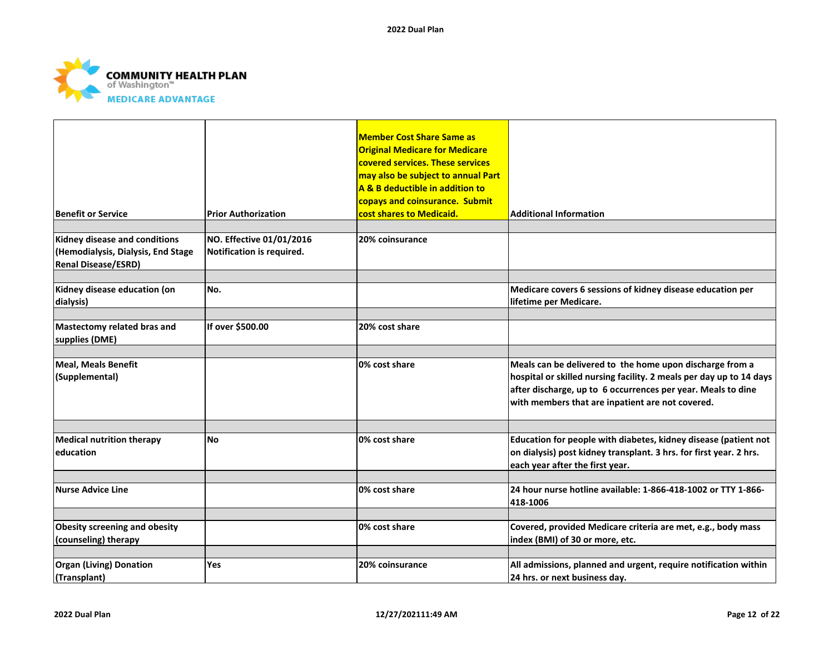

| <b>Benefit or Service</b>                                                                         | <b>Prior Authorization</b>                            | <b>Member Cost Share Same as</b><br><b>Original Medicare for Medicare</b><br>covered services. These services<br>may also be subject to annual Part<br>A & B deductible in addition to<br>copays and coinsurance. Submit<br>cost shares to Medicaid. | <b>Additional Information</b>                                                                                                                                                                                                                       |
|---------------------------------------------------------------------------------------------------|-------------------------------------------------------|------------------------------------------------------------------------------------------------------------------------------------------------------------------------------------------------------------------------------------------------------|-----------------------------------------------------------------------------------------------------------------------------------------------------------------------------------------------------------------------------------------------------|
|                                                                                                   |                                                       |                                                                                                                                                                                                                                                      |                                                                                                                                                                                                                                                     |
| Kidney disease and conditions<br>(Hemodialysis, Dialysis, End Stage<br><b>Renal Disease/ESRD)</b> | NO. Effective 01/01/2016<br>Notification is required. | <b>20% coinsurance</b>                                                                                                                                                                                                                               |                                                                                                                                                                                                                                                     |
| Kidney disease education (on<br>dialysis)                                                         | No.                                                   |                                                                                                                                                                                                                                                      | Medicare covers 6 sessions of kidney disease education per<br>lifetime per Medicare.                                                                                                                                                                |
| Mastectomy related bras and<br>supplies (DME)                                                     | If over \$500.00                                      | 20% cost share                                                                                                                                                                                                                                       |                                                                                                                                                                                                                                                     |
| <b>Meal, Meals Benefit</b><br>(Supplemental)                                                      |                                                       | 0% cost share                                                                                                                                                                                                                                        | Meals can be delivered to the home upon discharge from a<br>hospital or skilled nursing facility. 2 meals per day up to 14 days<br>after discharge, up to 6 occurrences per year. Meals to dine<br>with members that are inpatient are not covered. |
|                                                                                                   |                                                       |                                                                                                                                                                                                                                                      |                                                                                                                                                                                                                                                     |
| <b>Medical nutrition therapy</b><br>leducation                                                    | <b>No</b>                                             | 0% cost share                                                                                                                                                                                                                                        | Education for people with diabetes, kidney disease (patient not<br>on dialysis) post kidney transplant. 3 hrs. for first year. 2 hrs.<br>each year after the first year.                                                                            |
| <b>Nurse Advice Line</b>                                                                          |                                                       | 0% cost share                                                                                                                                                                                                                                        | 24 hour nurse hotline available: 1-866-418-1002 or TTY 1-866-<br>418-1006                                                                                                                                                                           |
| Obesity screening and obesity<br>(counseling) therapy                                             |                                                       | 0% cost share                                                                                                                                                                                                                                        | Covered, provided Medicare criteria are met, e.g., body mass<br>index (BMI) of 30 or more, etc.                                                                                                                                                     |
| <b>Organ (Living) Donation</b><br>(Transplant)                                                    | <b>Yes</b>                                            | 20% coinsurance                                                                                                                                                                                                                                      | All admissions, planned and urgent, require notification within<br>24 hrs. or next business day.                                                                                                                                                    |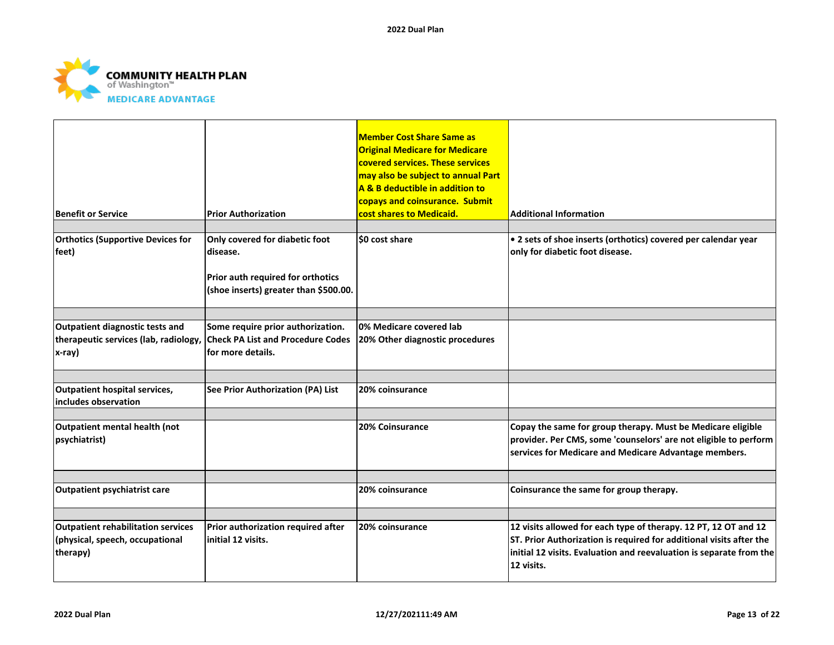

| <b>Benefit or Service</b>                                                                | <b>Prior Authorization</b>                                                                                               | <b>Member Cost Share Same as</b><br><b>Original Medicare for Medicare</b><br>covered services. These services<br>may also be subject to annual Part<br>A & B deductible in addition to<br>copays and coinsurance. Submit<br>cost shares to Medicaid. | <b>Additional Information</b>                                                                                                                                                                                               |
|------------------------------------------------------------------------------------------|--------------------------------------------------------------------------------------------------------------------------|------------------------------------------------------------------------------------------------------------------------------------------------------------------------------------------------------------------------------------------------------|-----------------------------------------------------------------------------------------------------------------------------------------------------------------------------------------------------------------------------|
| <b>Orthotics (Supportive Devices for</b><br>feet)                                        | Only covered for diabetic foot<br>disease.<br>Prior auth required for orthotics<br>(shoe inserts) greater than \$500.00. | \$0 cost share                                                                                                                                                                                                                                       | • 2 sets of shoe inserts (orthotics) covered per calendar year<br>only for diabetic foot disease.                                                                                                                           |
| Outpatient diagnostic tests and<br>therapeutic services (lab, radiology,<br>x-ray)       | Some require prior authorization.<br><b>Check PA List and Procedure Codes</b><br>lfor more details.                      | 0% Medicare covered lab<br>20% Other diagnostic procedures                                                                                                                                                                                           |                                                                                                                                                                                                                             |
| <b>Outpatient hospital services,</b><br>includes observation                             | See Prior Authorization (PA) List                                                                                        | 20% coinsurance                                                                                                                                                                                                                                      |                                                                                                                                                                                                                             |
| Outpatient mental health (not<br>psychiatrist)                                           |                                                                                                                          | 20% Coinsurance                                                                                                                                                                                                                                      | Copay the same for group therapy. Must be Medicare eligible<br>provider. Per CMS, some 'counselors' are not eligible to perform<br>services for Medicare and Medicare Advantage members.                                    |
| <b>Outpatient psychiatrist care</b>                                                      |                                                                                                                          | 20% coinsurance                                                                                                                                                                                                                                      | Coinsurance the same for group therapy.                                                                                                                                                                                     |
| <b>Outpatient rehabilitation services</b><br>(physical, speech, occupational<br>therapy) | Prior authorization required after<br>initial 12 visits.                                                                 | 20% coinsurance                                                                                                                                                                                                                                      | 12 visits allowed for each type of therapy. 12 PT, 12 OT and 12<br>ST. Prior Authorization is required for additional visits after the<br>initial 12 visits. Evaluation and reevaluation is separate from the<br>12 visits. |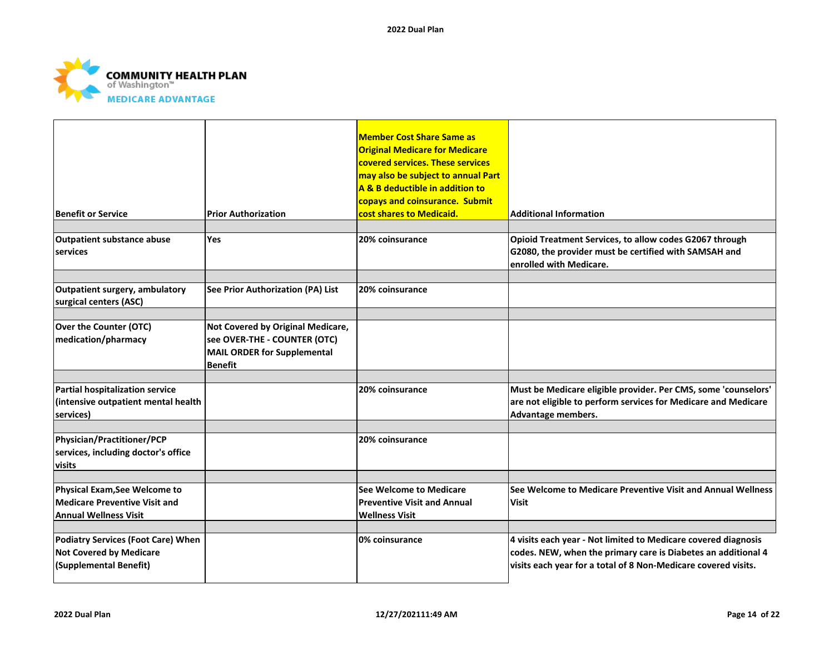

| <b>Benefit or Service</b>                                                                      | <b>Prior Authorization</b>                                                                                         | <b>Member Cost Share Same as</b><br><b>Original Medicare for Medicare</b><br>covered services. These services<br>may also be subject to annual Part<br>A & B deductible in addition to<br>copays and coinsurance. Submit<br>cost shares to Medicaid. | <b>Additional Information</b>                                                                                                                                                                     |
|------------------------------------------------------------------------------------------------|--------------------------------------------------------------------------------------------------------------------|------------------------------------------------------------------------------------------------------------------------------------------------------------------------------------------------------------------------------------------------------|---------------------------------------------------------------------------------------------------------------------------------------------------------------------------------------------------|
| Outpatient substance abuse<br>services                                                         | <b>Yes</b>                                                                                                         | 20% coinsurance                                                                                                                                                                                                                                      | Opioid Treatment Services, to allow codes G2067 through<br>G2080, the provider must be certified with SAMSAH and<br>enrolled with Medicare.                                                       |
| Outpatient surgery, ambulatory<br>surgical centers (ASC)                                       | See Prior Authorization (PA) List                                                                                  | 20% coinsurance                                                                                                                                                                                                                                      |                                                                                                                                                                                                   |
| <b>Over the Counter (OTC)</b><br>medication/pharmacy                                           | Not Covered by Original Medicare,<br>see OVER-THE - COUNTER (OTC)<br>MAIL ORDER for Supplemental<br><b>Benefit</b> |                                                                                                                                                                                                                                                      |                                                                                                                                                                                                   |
| Partial hospitalization service<br>(intensive outpatient mental health<br>services)            |                                                                                                                    | 20% coinsurance                                                                                                                                                                                                                                      | Must be Medicare eligible provider. Per CMS, some 'counselors'<br>are not eligible to perform services for Medicare and Medicare<br>Advantage members.                                            |
| Physician/Practitioner/PCP<br>services, including doctor's office<br>visits                    |                                                                                                                    | 20% coinsurance                                                                                                                                                                                                                                      |                                                                                                                                                                                                   |
| Physical Exam, See Welcome to<br>Medicare Preventive Visit and<br><b>Annual Wellness Visit</b> |                                                                                                                    | See Welcome to Medicare<br><b>Preventive Visit and Annual</b><br><b>Wellness Visit</b>                                                                                                                                                               | See Welcome to Medicare Preventive Visit and Annual Wellness<br>Visit                                                                                                                             |
| Podiatry Services (Foot Care) When<br><b>Not Covered by Medicare</b><br>(Supplemental Benefit) |                                                                                                                    | 0% coinsurance                                                                                                                                                                                                                                       | 4 visits each year - Not limited to Medicare covered diagnosis<br>codes. NEW, when the primary care is Diabetes an additional 4<br>visits each year for a total of 8 Non-Medicare covered visits. |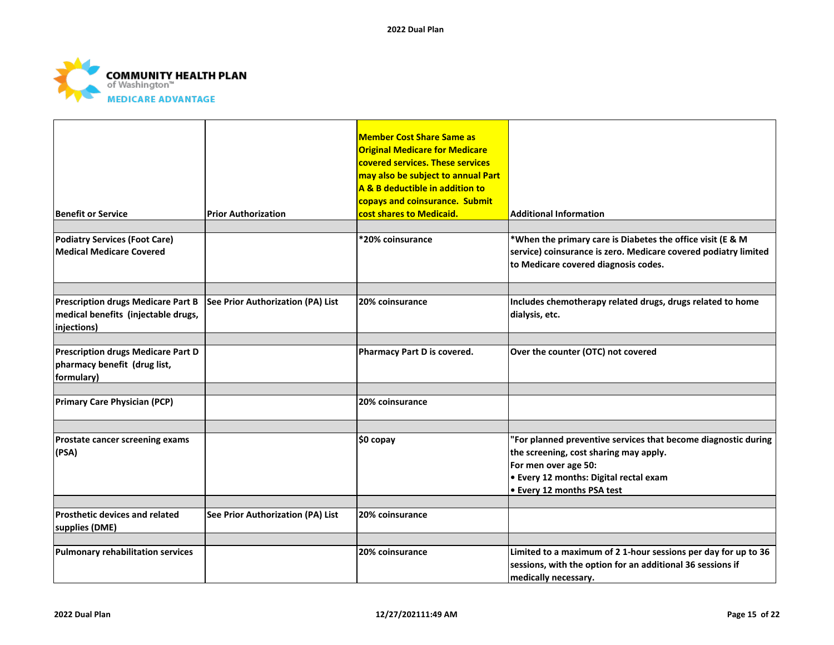

| <b>Benefit or Service</b>                                                                       | <b>Prior Authorization</b>               | <b>Member Cost Share Same as</b><br><b>Original Medicare for Medicare</b><br>covered services. These services<br>may also be subject to annual Part<br>A & B deductible in addition to<br>copays and coinsurance. Submit<br>cost shares to Medicaid. | <b>Additional Information</b>                                                                                                                                                                                   |
|-------------------------------------------------------------------------------------------------|------------------------------------------|------------------------------------------------------------------------------------------------------------------------------------------------------------------------------------------------------------------------------------------------------|-----------------------------------------------------------------------------------------------------------------------------------------------------------------------------------------------------------------|
|                                                                                                 |                                          |                                                                                                                                                                                                                                                      |                                                                                                                                                                                                                 |
| <b>Podiatry Services (Foot Care)</b><br><b>Medical Medicare Covered</b>                         |                                          | *20% coinsurance                                                                                                                                                                                                                                     | *When the primary care is Diabetes the office visit (E & M<br>service) coinsurance is zero. Medicare covered podiatry limited<br>to Medicare covered diagnosis codes.                                           |
|                                                                                                 |                                          |                                                                                                                                                                                                                                                      |                                                                                                                                                                                                                 |
| <b>Prescription drugs Medicare Part B</b><br>medical benefits (injectable drugs,<br>injections) | See Prior Authorization (PA) List        | 20% coinsurance                                                                                                                                                                                                                                      | Includes chemotherapy related drugs, drugs related to home<br>dialysis, etc.                                                                                                                                    |
|                                                                                                 |                                          |                                                                                                                                                                                                                                                      |                                                                                                                                                                                                                 |
| <b>Prescription drugs Medicare Part D</b><br>pharmacy benefit (drug list,<br>formulary)         |                                          | Pharmacy Part D is covered.                                                                                                                                                                                                                          | Over the counter (OTC) not covered                                                                                                                                                                              |
|                                                                                                 |                                          |                                                                                                                                                                                                                                                      |                                                                                                                                                                                                                 |
| <b>Primary Care Physician (PCP)</b>                                                             |                                          | 20% coinsurance                                                                                                                                                                                                                                      |                                                                                                                                                                                                                 |
|                                                                                                 |                                          |                                                                                                                                                                                                                                                      |                                                                                                                                                                                                                 |
| Prostate cancer screening exams<br>(PSA)                                                        |                                          | \$0 copay                                                                                                                                                                                                                                            | "For planned preventive services that become diagnostic during<br>the screening, cost sharing may apply.<br>For men over age 50:<br><b>.</b> Every 12 months: Digital rectal exam<br>• Every 12 months PSA test |
|                                                                                                 |                                          |                                                                                                                                                                                                                                                      |                                                                                                                                                                                                                 |
| <b>Prosthetic devices and related</b><br>supplies (DME)                                         | <b>See Prior Authorization (PA) List</b> | 20% coinsurance                                                                                                                                                                                                                                      |                                                                                                                                                                                                                 |
|                                                                                                 |                                          |                                                                                                                                                                                                                                                      |                                                                                                                                                                                                                 |
| <b>Pulmonary rehabilitation services</b>                                                        |                                          | 20% coinsurance                                                                                                                                                                                                                                      | Limited to a maximum of 2 1-hour sessions per day for up to 36<br>sessions, with the option for an additional 36 sessions if<br>medically necessary.                                                            |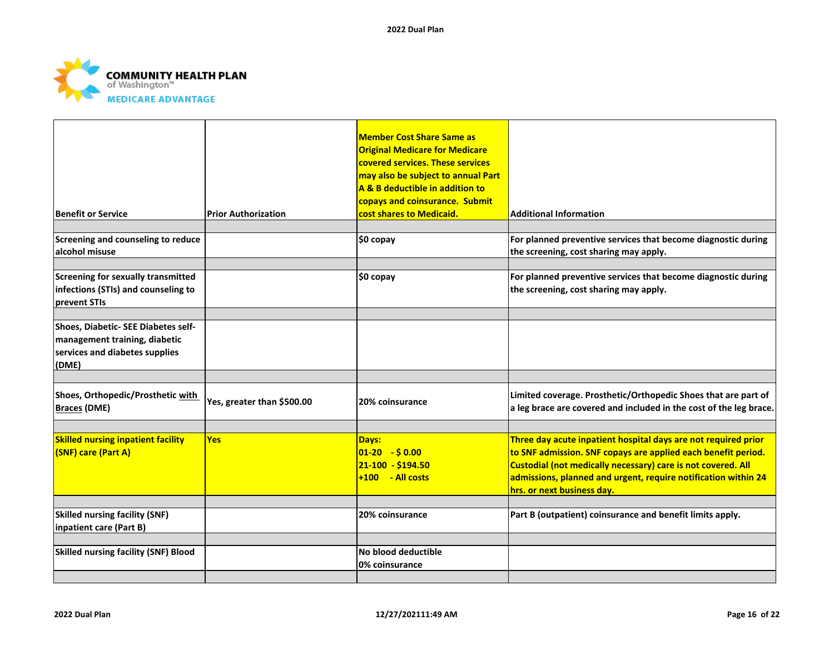

| Benefit or Service                                                                                              | <b>Prior Authorization</b> | <b>Member Cost Share Same as</b><br><b>Original Medicare for Medicare</b><br>covered services. These services<br>may also be subject to annual Part<br>A & B deductible in addition to<br>copays and coinsurance. Submit<br>cost shares to Medicaid. | <b>Additional Information</b>                                                                                                                                                                                                                                                                   |
|-----------------------------------------------------------------------------------------------------------------|----------------------------|------------------------------------------------------------------------------------------------------------------------------------------------------------------------------------------------------------------------------------------------------|-------------------------------------------------------------------------------------------------------------------------------------------------------------------------------------------------------------------------------------------------------------------------------------------------|
|                                                                                                                 |                            |                                                                                                                                                                                                                                                      |                                                                                                                                                                                                                                                                                                 |
| Screening and counseling to reduce<br>alcohol misuse                                                            |                            | \$0 copay                                                                                                                                                                                                                                            | For planned preventive services that become diagnostic during<br>the screening, cost sharing may apply.                                                                                                                                                                                         |
| Screening for sexually transmitted<br>infections (STIs) and counseling to<br>prevent STIs                       |                            | \$0 copay                                                                                                                                                                                                                                            | For planned preventive services that become diagnostic during<br>the screening, cost sharing may apply.                                                                                                                                                                                         |
| Shoes, Diabetic- SEE Diabetes self-<br>management training, diabetic<br>services and diabetes supplies<br>(DME) |                            |                                                                                                                                                                                                                                                      |                                                                                                                                                                                                                                                                                                 |
| Shoes, Orthopedic/Prosthetic with<br><b>Braces (DME)</b>                                                        | Yes, greater than \$500.00 | 20% coinsurance                                                                                                                                                                                                                                      | Limited coverage. Prosthetic/Orthopedic Shoes that are part of<br>a leg brace are covered and included in the cost of the leg brace.                                                                                                                                                            |
| <b>Skilled nursing inpatient facility</b><br><b>(SNF) care (Part A)</b>                                         | <b>Yes</b>                 | Days:<br>$01-20 - $0.00$<br>$21 - 100 - $194.50$<br>$+100 - Al \ncosts$                                                                                                                                                                              | Three day acute inpatient hospital days are not required prior<br>to SNF admission. SNF copays are applied each benefit period.<br>Custodial (not medically necessary) care is not covered. All<br>admissions, planned and urgent, require notification within 24<br>hrs. or next business day. |
| <b>Skilled nursing facility (SNF)</b><br>inpatient care (Part B)                                                |                            | 20% coinsurance                                                                                                                                                                                                                                      | Part B (outpatient) coinsurance and benefit limits apply.                                                                                                                                                                                                                                       |
| <b>Skilled nursing facility (SNF) Blood</b>                                                                     |                            | No blood deductible<br>0% coinsurance                                                                                                                                                                                                                |                                                                                                                                                                                                                                                                                                 |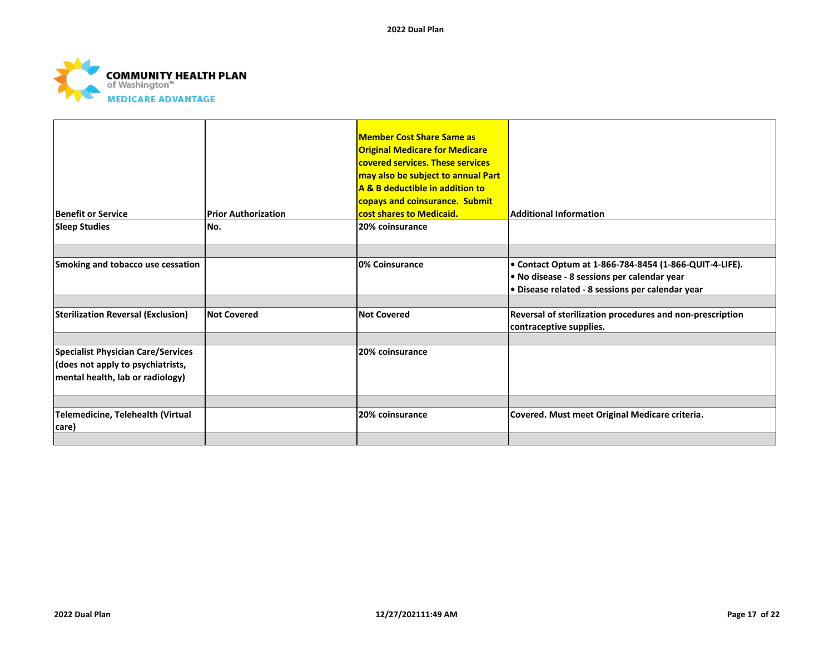

|                                           |                            | <b>Member Cost Share Same as</b><br><b>Original Medicare for Medicare</b><br>covered services. These services<br>may also be subject to annual Part<br><b>A &amp; B deductible in addition to</b> |                                                                                      |
|-------------------------------------------|----------------------------|---------------------------------------------------------------------------------------------------------------------------------------------------------------------------------------------------|--------------------------------------------------------------------------------------|
|                                           |                            | copays and coinsurance. Submit                                                                                                                                                                    |                                                                                      |
| <b>Benefit or Service</b>                 | <b>Prior Authorization</b> | cost shares to Medicaid.                                                                                                                                                                          | <b>Additional Information</b>                                                        |
| <b>Sleep Studies</b>                      | No.                        | 20% coinsurance                                                                                                                                                                                   |                                                                                      |
|                                           |                            |                                                                                                                                                                                                   |                                                                                      |
| Smoking and tobacco use cessation         |                            | 0% Coinsurance                                                                                                                                                                                    | • Contact Optum at 1-866-784-8454 (1-866-QUIT-4-LIFE).                               |
|                                           |                            |                                                                                                                                                                                                   | . No disease - 8 sessions per calendar year                                          |
|                                           |                            |                                                                                                                                                                                                   | · Disease related - 8 sessions per calendar year                                     |
|                                           |                            |                                                                                                                                                                                                   |                                                                                      |
| <b>Sterilization Reversal (Exclusion)</b> | <b>Not Covered</b>         | <b>Not Covered</b>                                                                                                                                                                                | Reversal of sterilization procedures and non-prescription<br>contraceptive supplies. |
|                                           |                            |                                                                                                                                                                                                   |                                                                                      |
| <b>Specialist Physician Care/Services</b> |                            | 20% coinsurance                                                                                                                                                                                   |                                                                                      |
| (does not apply to psychiatrists,         |                            |                                                                                                                                                                                                   |                                                                                      |
| mental health, lab or radiology)          |                            |                                                                                                                                                                                                   |                                                                                      |
|                                           |                            |                                                                                                                                                                                                   |                                                                                      |
| Telemedicine, Telehealth (Virtual         |                            | 20% coinsurance                                                                                                                                                                                   | Covered. Must meet Original Medicare criteria.                                       |
| care)                                     |                            |                                                                                                                                                                                                   |                                                                                      |
|                                           |                            |                                                                                                                                                                                                   |                                                                                      |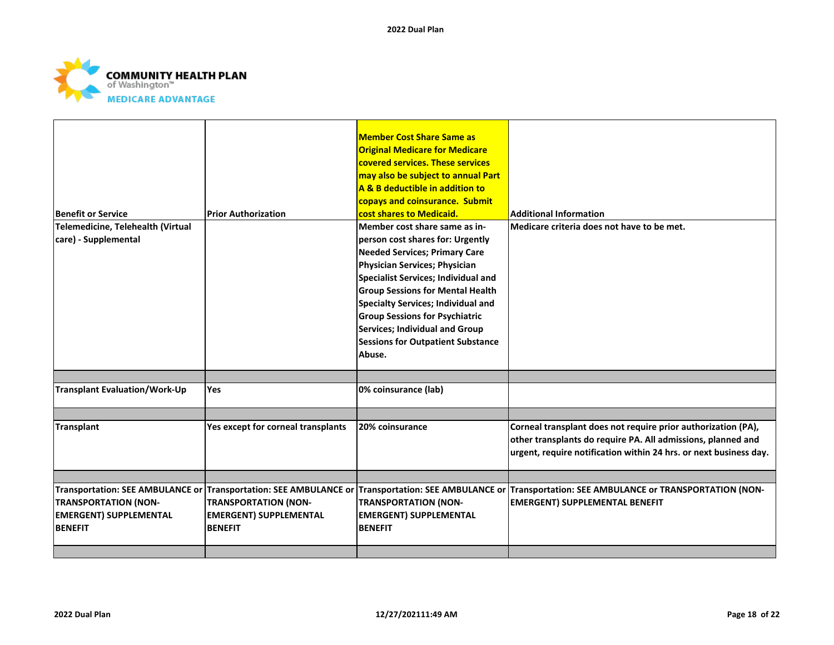

| <b>Benefit or Service</b>                                                      | <b>Prior Authorization</b>                                                                         | <b>Member Cost Share Same as</b><br><b>Original Medicare for Medicare</b><br>covered services. These services<br>may also be subject to annual Part<br>A & B deductible in addition to<br>copays and coinsurance. Submit<br>cost shares to Medicaid.                                                                                                                                                       | <b>Additional Information</b>                                                                                                                                                                      |
|--------------------------------------------------------------------------------|----------------------------------------------------------------------------------------------------|------------------------------------------------------------------------------------------------------------------------------------------------------------------------------------------------------------------------------------------------------------------------------------------------------------------------------------------------------------------------------------------------------------|----------------------------------------------------------------------------------------------------------------------------------------------------------------------------------------------------|
| Telemedicine, Telehealth (Virtual<br>care) - Supplemental                      |                                                                                                    | Member cost share same as in-<br>person cost shares for: Urgently<br><b>Needed Services; Primary Care</b><br>Physician Services; Physician<br>Specialist Services; Individual and<br><b>Group Sessions for Mental Health</b><br><b>Specialty Services; Individual and</b><br><b>Group Sessions for Psychiatric</b><br>Services; Individual and Group<br><b>Sessions for Outpatient Substance</b><br>Abuse. | Medicare criteria does not have to be met.                                                                                                                                                         |
| <b>Transplant Evaluation/Work-Up</b>                                           | <b>Yes</b>                                                                                         | 0% coinsurance (lab)                                                                                                                                                                                                                                                                                                                                                                                       |                                                                                                                                                                                                    |
|                                                                                |                                                                                                    |                                                                                                                                                                                                                                                                                                                                                                                                            |                                                                                                                                                                                                    |
| <b>Transplant</b>                                                              | Yes except for corneal transplants                                                                 | 20% coinsurance                                                                                                                                                                                                                                                                                                                                                                                            | Corneal transplant does not require prior authorization (PA),<br>other transplants do require PA. All admissions, planned and<br>urgent, require notification within 24 hrs. or next business day. |
|                                                                                | Transportation: SEE AMBULANCE or Transportation: SEE AMBULANCE or Transportation: SEE AMBULANCE or |                                                                                                                                                                                                                                                                                                                                                                                                            | Transportation: SEE AMBULANCE or TRANSPORTATION (NON-                                                                                                                                              |
| <b>TRANSPORTATION (NON-</b><br><b>EMERGENT) SUPPLEMENTAL</b><br><b>BENEFIT</b> | <b>TRANSPORTATION (NON-</b><br><b>EMERGENT) SUPPLEMENTAL</b><br><b>BENEFIT</b>                     | <b>TRANSPORTATION (NON-</b><br><b>EMERGENT) SUPPLEMENTAL</b><br><b>BENEFIT</b>                                                                                                                                                                                                                                                                                                                             | <b>EMERGENT) SUPPLEMENTAL BENEFIT</b>                                                                                                                                                              |
|                                                                                |                                                                                                    |                                                                                                                                                                                                                                                                                                                                                                                                            |                                                                                                                                                                                                    |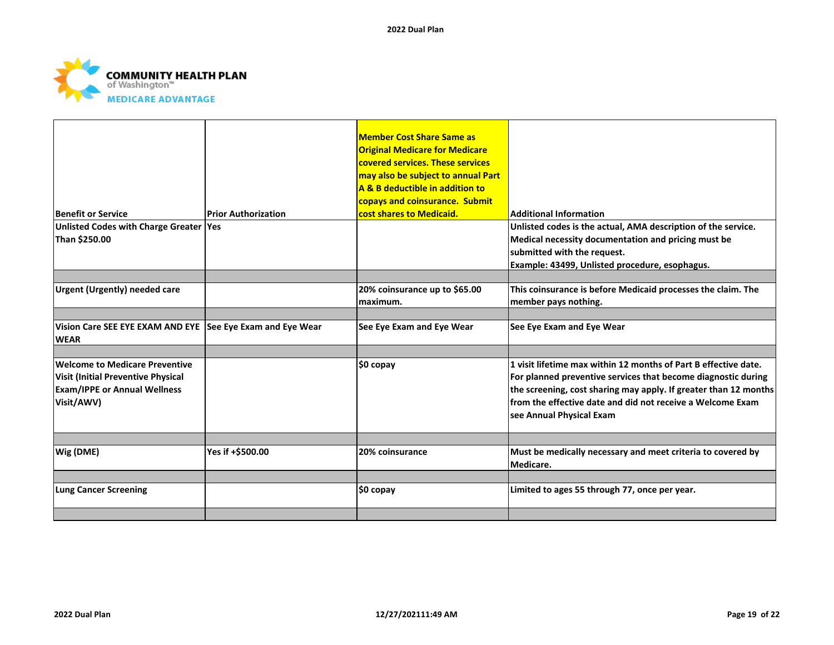

|                                                                           |                            | <b>Member Cost Share Same as</b><br><b>Original Medicare for Medicare</b><br>covered services. These services<br>may also be subject to annual Part<br>A & B deductible in addition to<br>copays and coinsurance. Submit |                                                                  |
|---------------------------------------------------------------------------|----------------------------|--------------------------------------------------------------------------------------------------------------------------------------------------------------------------------------------------------------------------|------------------------------------------------------------------|
| <b>Benefit or Service</b>                                                 | <b>Prior Authorization</b> | cost shares to Medicaid.                                                                                                                                                                                                 | <b>Additional Information</b>                                    |
| Unlisted Codes with Charge Greater Yes                                    |                            |                                                                                                                                                                                                                          | Unlisted codes is the actual, AMA description of the service.    |
| Than \$250.00                                                             |                            |                                                                                                                                                                                                                          | Medical necessity documentation and pricing must be              |
|                                                                           |                            |                                                                                                                                                                                                                          | submitted with the request.                                      |
|                                                                           |                            |                                                                                                                                                                                                                          | Example: 43499, Unlisted procedure, esophagus.                   |
|                                                                           |                            |                                                                                                                                                                                                                          |                                                                  |
| <b>Urgent (Urgently) needed care</b>                                      |                            | 20% coinsurance up to \$65.00                                                                                                                                                                                            | This coinsurance is before Medicaid processes the claim. The     |
|                                                                           |                            | lmaximum.                                                                                                                                                                                                                | member pays nothing.                                             |
|                                                                           |                            |                                                                                                                                                                                                                          |                                                                  |
| Vision Care SEE EYE EXAM AND EYE See Eye Exam and Eye Wear<br><b>WEAR</b> |                            | See Eye Exam and Eye Wear                                                                                                                                                                                                | See Eye Exam and Eye Wear                                        |
|                                                                           |                            |                                                                                                                                                                                                                          |                                                                  |
| <b>Welcome to Medicare Preventive</b>                                     |                            | ∣\$0 copay                                                                                                                                                                                                               | 1 visit lifetime max within 12 months of Part B effective date.  |
| <b>Visit (Initial Preventive Physical</b>                                 |                            |                                                                                                                                                                                                                          | For planned preventive services that become diagnostic during    |
| <b>Exam/IPPE or Annual Wellness</b>                                       |                            |                                                                                                                                                                                                                          | the screening, cost sharing may apply. If greater than 12 months |
| Visit/AWV)                                                                |                            |                                                                                                                                                                                                                          | from the effective date and did not receive a Welcome Exam       |
|                                                                           |                            |                                                                                                                                                                                                                          | see Annual Physical Exam                                         |
|                                                                           |                            |                                                                                                                                                                                                                          |                                                                  |
| Wig (DME)                                                                 | Yes if +\$500.00           | 20% coinsurance                                                                                                                                                                                                          | Must be medically necessary and meet criteria to covered by      |
|                                                                           |                            |                                                                                                                                                                                                                          | Medicare.                                                        |
|                                                                           |                            |                                                                                                                                                                                                                          |                                                                  |
| <b>Lung Cancer Screening</b>                                              |                            | ∣\$0 copay                                                                                                                                                                                                               | Limited to ages 55 through 77, once per year.                    |
|                                                                           |                            |                                                                                                                                                                                                                          |                                                                  |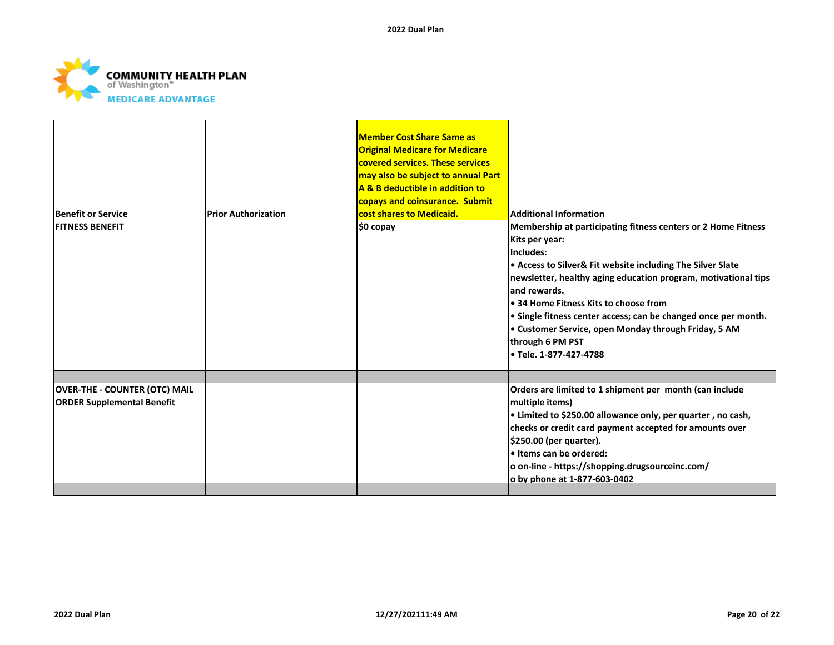

|                                      |                            | <b>Member Cost Share Same as</b><br><b>Original Medicare for Medicare</b> |                                                                |
|--------------------------------------|----------------------------|---------------------------------------------------------------------------|----------------------------------------------------------------|
|                                      |                            | covered services. These services                                          |                                                                |
|                                      |                            | may also be subject to annual Part                                        |                                                                |
|                                      |                            | A & B deductible in addition to                                           |                                                                |
|                                      |                            | copays and coinsurance. Submit                                            |                                                                |
| <b>Benefit or Service</b>            | <b>Prior Authorization</b> | cost shares to Medicaid.                                                  | <b>Additional Information</b>                                  |
| <b>FITNESS BENEFIT</b>               |                            | \$0 copay                                                                 | Membership at participating fitness centers or 2 Home Fitness  |
|                                      |                            |                                                                           | Kits per year:                                                 |
|                                      |                            |                                                                           | Includes:                                                      |
|                                      |                            |                                                                           | • Access to Silver& Fit website including The Silver Slate     |
|                                      |                            |                                                                           | newsletter, healthy aging education program, motivational tips |
|                                      |                            |                                                                           | land rewards.                                                  |
|                                      |                            |                                                                           | . 34 Home Fitness Kits to choose from                          |
|                                      |                            |                                                                           | • Single fitness center access; can be changed once per month. |
|                                      |                            |                                                                           | • Customer Service, open Monday through Friday, 5 AM           |
|                                      |                            |                                                                           | through 6 PM PST                                               |
|                                      |                            |                                                                           | • Tele. 1-877-427-4788                                         |
|                                      |                            |                                                                           |                                                                |
| <b>OVER-THE - COUNTER (OTC) MAIL</b> |                            |                                                                           | Orders are limited to 1 shipment per month (can include        |
| <b>ORDER Supplemental Benefit</b>    |                            |                                                                           | multiple items)                                                |
|                                      |                            |                                                                           | • Limited to \$250.00 allowance only, per quarter, no cash,    |
|                                      |                            |                                                                           | checks or credit card payment accepted for amounts over        |
|                                      |                            |                                                                           | \$250.00 (per quarter).                                        |
|                                      |                            |                                                                           | . Items can be ordered:                                        |
|                                      |                            |                                                                           | o on-line - https://shopping.drugsourceinc.com/                |
|                                      |                            |                                                                           | o by phone at 1-877-603-0402                                   |
|                                      |                            |                                                                           |                                                                |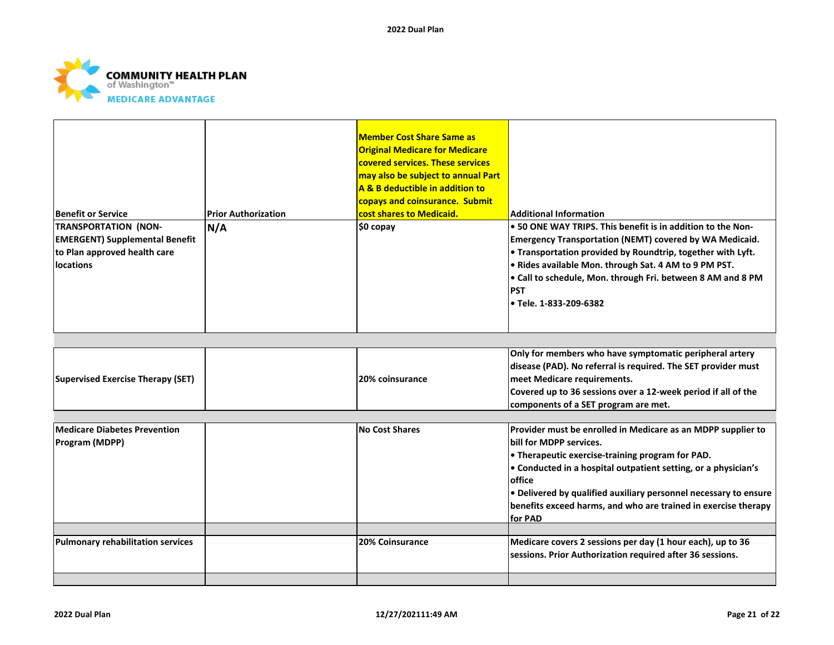

| <b>Benefit or Service</b><br><b>TRANSPORTATION (NON-</b><br><b>EMERGENT) Supplemental Benefit</b><br>to Plan approved health care<br>locations | <b>Prior Authorization</b><br>N/A | <b>Member Cost Share Same as</b><br><b>Original Medicare for Medicare</b><br>covered services. These services<br>may also be subject to annual Part<br>A & B deductible in addition to<br>copays and coinsurance. Submit<br>cost shares to Medicaid.<br>\$0 copay | <b>Additional Information</b><br>• 50 ONE WAY TRIPS. This benefit is in addition to the Non-<br><b>Emergency Transportation (NEMT) covered by WA Medicaid.</b><br>. Transportation provided by Roundtrip, together with Lyft.<br>. Rides available Mon. through Sat. 4 AM to 9 PM PST.<br>. Call to schedule, Mon. through Fri. between 8 AM and 8 PM<br><b>PST</b><br>• Tele. 1-833-209-6382 |
|------------------------------------------------------------------------------------------------------------------------------------------------|-----------------------------------|-------------------------------------------------------------------------------------------------------------------------------------------------------------------------------------------------------------------------------------------------------------------|-----------------------------------------------------------------------------------------------------------------------------------------------------------------------------------------------------------------------------------------------------------------------------------------------------------------------------------------------------------------------------------------------|
|                                                                                                                                                |                                   |                                                                                                                                                                                                                                                                   |                                                                                                                                                                                                                                                                                                                                                                                               |
| <b>Supervised Exercise Therapy (SET)</b>                                                                                                       |                                   | 20% coinsurance                                                                                                                                                                                                                                                   | Only for members who have symptomatic peripheral artery<br>disease (PAD). No referral is required. The SET provider must<br>meet Medicare requirements.<br>Covered up to 36 sessions over a 12-week period if all of the<br>components of a SET program are met.                                                                                                                              |
| <b>Medicare Diabetes Prevention</b><br>Program (MDPP)                                                                                          |                                   | <b>No Cost Shares</b>                                                                                                                                                                                                                                             | Provider must be enrolled in Medicare as an MDPP supplier to<br>bill for MDPP services.<br>• Therapeutic exercise-training program for PAD.<br>• Conducted in a hospital outpatient setting, or a physician's<br>office<br>. Delivered by qualified auxiliary personnel necessary to ensure<br>benefits exceed harms, and who are trained in exercise therapy<br>for PAD                      |
| <b>Pulmonary rehabilitation services</b>                                                                                                       |                                   | <b>20% Coinsurance</b>                                                                                                                                                                                                                                            | Medicare covers 2 sessions per day (1 hour each), up to 36                                                                                                                                                                                                                                                                                                                                    |
|                                                                                                                                                |                                   |                                                                                                                                                                                                                                                                   | sessions. Prior Authorization required after 36 sessions.                                                                                                                                                                                                                                                                                                                                     |